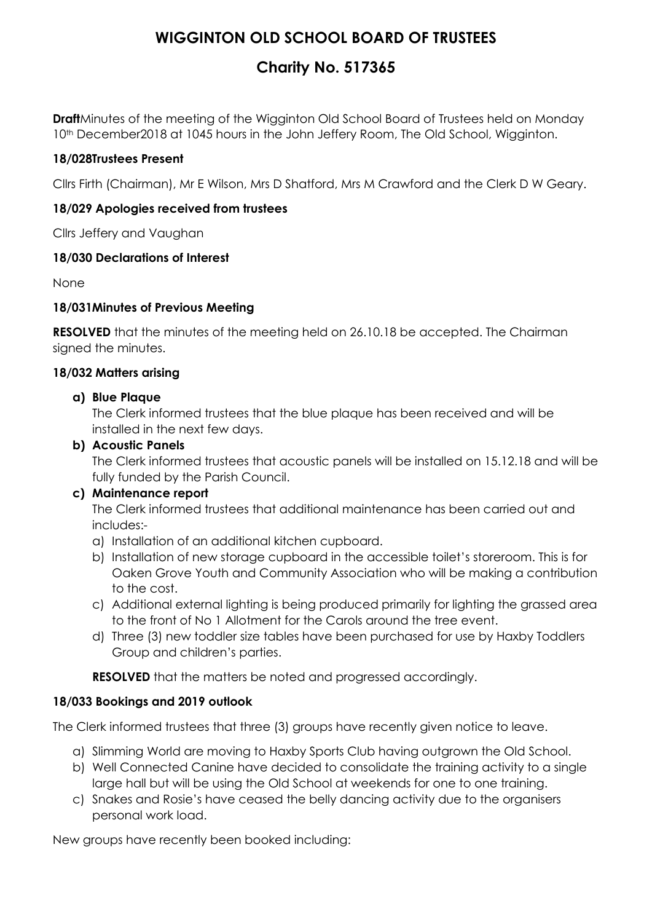# **WIGGINTON OLD SCHOOL BOARD OF TRUSTEES**

# **Charity No. 517365**

**Draft**Minutes of the meeting of the Wigginton Old School Board of Trustees held on Monday 10<sup>th</sup> December2018 at 1045 hours in the John Jeffery Room, The Old School, Wigginton.

## **18/028Trustees Present**

Cllrs Firth (Chairman), Mr E Wilson, Mrs D Shatford, Mrs M Crawford and the Clerk D W Geary.

## **18/029 Apologies received from trustees**

Cllrs Jeffery and Vaughan

#### **18/030 Declarations of Interest**

None

## **18/031Minutes of Previous Meeting**

**RESOLVED** that the minutes of the meeting held on 26.10.18 be accepted. The Chairman signed the minutes.

## **18/032 Matters arising**

#### **a) Blue Plaque**

The Clerk informed trustees that the blue plaque has been received and will be installed in the next few days.

## **b) Acoustic Panels**

The Clerk informed trustees that acoustic panels will be installed on 15.12.18 and will be fully funded by the Parish Council.

#### **c) Maintenance report**

The Clerk informed trustees that additional maintenance has been carried out and includes:-

- a) Installation of an additional kitchen cupboard.
- b) Installation of new storage cupboard in the accessible toilet's storeroom. This is for Oaken Grove Youth and Community Association who will be making a contribution to the cost.
- c) Additional external lighting is being produced primarily for lighting the grassed area to the front of No 1 Allotment for the Carols around the tree event.
- d) Three (3) new toddler size tables have been purchased for use by Haxby Toddlers Group and children's parties.

**RESOLVED** that the matters be noted and progressed accordingly.

# **18/033 Bookings and 2019 outlook**

The Clerk informed trustees that three (3) groups have recently given notice to leave.

- a) Slimming World are moving to Haxby Sports Club having outgrown the Old School.
- b) Well Connected Canine have decided to consolidate the training activity to a single large hall but will be using the Old School at weekends for one to one training.
- c) Snakes and Rosie's have ceased the belly dancing activity due to the organisers personal work load.

New groups have recently been booked including: